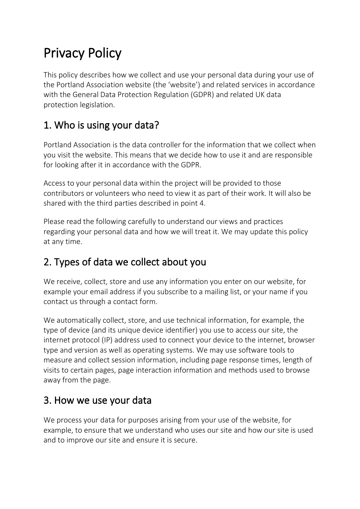# Privacy Policy

This policy describes how we collect and use your personal data during your use of the Portland Association website (the 'website') and related services in accordance with the General Data Protection Regulation (GDPR) and related UK data protection legislation.

# 1. Who is using your data?

Portland Association is the data controller for the information that we collect when you visit the website. This means that we decide how to use it and are responsible for looking after it in accordance with the GDPR.

Access to your personal data within the project will be provided to those contributors or volunteers who need to view it as part of their work. It will also be shared with the third parties described in point 4.

Please read the following carefully to understand our views and practices regarding your personal data and how we will treat it. We may update this policy at any time.

# 2. Types of data we collect about you

We receive, collect, store and use any information you enter on our website, for example your email address if you subscribe to a mailing list, or your name if you contact us through a contact form.

We automatically collect, store, and use technical information, for example, the type of device (and its unique device identifier) you use to access our site, the internet protocol (IP) address used to connect your device to the internet, browser type and version as well as operating systems. We may use software tools to measure and collect session information, including page response times, length of visits to certain pages, page interaction information and methods used to browse away from the page.

# 3. How we use your data

We process your data for purposes arising from your use of the website, for example, to ensure that we understand who uses our site and how our site is used and to improve our site and ensure it is secure.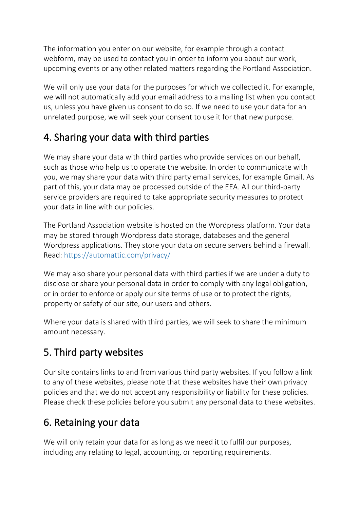The information you enter on our website, for example through a contact webform, may be used to contact you in order to inform you about our work, upcoming events or any other related matters regarding the Portland Association.

We will only use your data for the purposes for which we collected it. For example, we will not automatically add your email address to a mailing list when you contact us, unless you have given us consent to do so. If we need to use your data for an unrelated purpose, we will seek your consent to use it for that new purpose.

# 4. Sharing your data with third parties

We may share your data with third parties who provide services on our behalf. such as those who help us to operate the website. In order to communicate with you, we may share your data with third party email services, for example Gmail. As part of this, your data may be processed outside of the EEA. All our third-party service providers are required to take appropriate security measures to protect your data in line with our policies.

The Portland Association website is hosted on the Wordpress platform. Your data may be stored through Wordpress data storage, databases and the general Wordpress applications. They store your data on secure servers behind a firewall. Read: <https://automattic.com/privacy/>

We may also share your personal data with third parties if we are under a duty to disclose or share your personal data in order to comply with any legal obligation, or in order to enforce or apply our site terms of use or to protect the rights, property or safety of our site, our users and others.

Where your data is shared with third parties, we will seek to share the minimum amount necessary.

# 5. Third party websites

Our site contains links to and from various third party websites. If you follow a link to any of these websites, please note that these websites have their own privacy policies and that we do not accept any responsibility or liability for these policies. Please check these policies before you submit any personal data to these websites.

# 6. Retaining your data

We will only retain your data for as long as we need it to fulfil our purposes, including any relating to legal, accounting, or reporting requirements.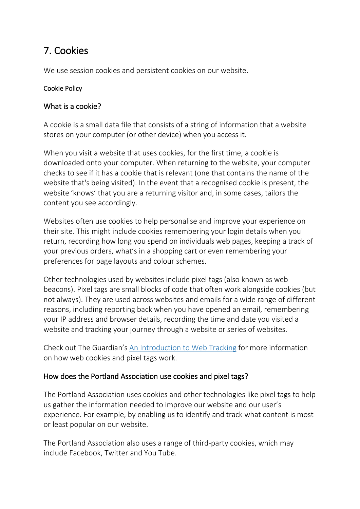### 7. Cookies

We use session cookies and persistent cookies on our website.

#### Cookie Policy

#### What is a cookie?

A cookie is a small data file that consists of a string of information that a website stores on your computer (or other device) when you access it.

When you visit a website that uses cookies, for the first time, a cookie is downloaded onto your computer. When returning to the website, your computer checks to see if it has a cookie that is relevant (one that contains the name of the website that's being visited). In the event that a recognised cookie is present, the website 'knows' that you are a returning visitor and, in some cases, tailors the content you see accordingly.

Websites often use cookies to help personalise and improve your experience on their site. This might include cookies remembering your login details when you return, recording how long you spend on individuals web pages, keeping a track of your previous orders, what's in a shopping cart or even remembering your preferences for page layouts and colour schemes.

Other technologies used by websites include pixel tags (also known as web beacons). Pixel tags are small blocks of code that often work alongside cookies (but not always). They are used across websites and emails for a wide range of different reasons, including reporting back when you have opened an email, remembering your IP address and browser details, recording the time and date you visited a website and tracking your journey through a website or series of websites.

Check out The Guardian's [An Introduction to Web Tracking](https://www.theguardian.com/technology/2012/apr/23/cookies-and-web-tracking-intro) for more information on how web cookies and pixel tags work.

#### How does the Portland Association use cookies and pixel tags?

The Portland Association uses cookies and other technologies like pixel tags to help us gather the information needed to improve our website and our user's experience. For example, by enabling us to identify and track what content is most or least popular on our website.

The Portland Association also uses a range of third-party cookies, which may include Facebook, Twitter and You Tube.